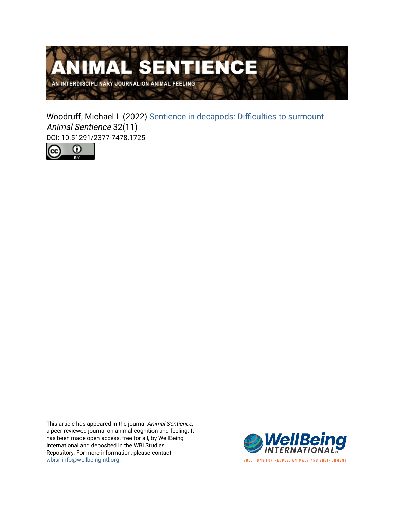

Woodruff, Michael L (2022) [Sentience in decapods: Difficulties to surmount.](https://www.wellbeingintlstudiesrepository.org/animsent/vol7/iss32/11) Animal Sentience 32(11) DOI: 10.51291/2377-7478.1725



This article has appeared in the journal Animal Sentience, a peer-reviewed journal on animal cognition and feeling. It has been made open access, free for all, by WellBeing International and deposited in the WBI Studies Repository. For more information, please contact [wbisr-info@wellbeingintl.org](mailto:wbisr-info@wellbeingintl.org).



SOLUTIONS FOR PEOPLE, ANIMALS AND ENVIRONMENT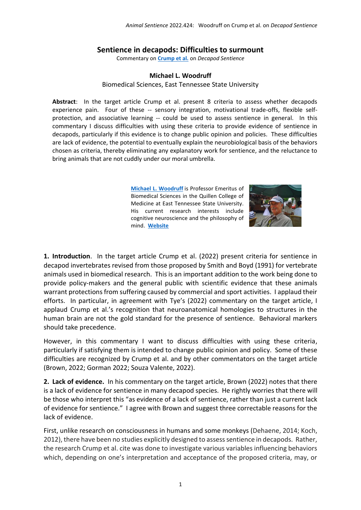## **Sentience in decapods: Difficulties to surmount**

Commentary on **[Crump et al.](https://www.wellbeingintlstudiesrepository.org/animsent/vol7/iss32/1/)** on *Decapod Sentience*

## **Michael L. Woodruff**

Biomedical Sciences, East Tennessee State University

**Abstract**: In the target article Crump et al. present 8 criteria to assess whether decapods experience pain. Four of these -- sensory integration, motivational trade-offs, flexible selfprotection, and associative learning -- could be used to assess sentience in general. In this commentary I discuss difficulties with using these criteria to provide evidence of sentience in decapods, particularly if this evidence is to change public opinion and policies. These difficulties are lack of evidence, the potential to eventually explain the neurobiological basis of the behaviors chosen as criteria, thereby eliminating any explanatory work for sentience, and the reluctance to bring animals that are not cuddly under our moral umbrella.

> **Michael L. [Woodruff](http://mlwoodruff1@gmail.com)** is Professor Emeritus of Biomedical Sciences in the Quillen College of Medicine at East Tennessee State University. His current research interests include cognitive neuroscience and the philosophy of mind. **[Website](https://michaelwoodruff.academia.edu/)**



**1. Introduction**. In the target article Crump et al. (2022) present criteria for sentience in decapod invertebrates revised from those proposed by Smith and Boyd (1991) for vertebrate animals used in biomedical research. This is an important addition to the work being done to provide policy-makers and the general public with scientific evidence that these animals warrant protections from suffering caused by commercial and sport activities. I applaud their efforts. In particular, in agreement with Tye's (2022) commentary on the target article, I applaud Crump et al.'s recognition that neuroanatomical homologies to structures in the human brain are not the gold standard for the presence of sentience. Behavioral markers should take precedence.

However, in this commentary I want to discuss difficulties with using these criteria, particularly if satisfying them is intended to change public opinion and policy. Some of these difficulties are recognized by Crump et al. and by other commentators on the target article (Brown, 2022; Gorman 2022; Souza Valente, 2022).

**2. Lack of evidence.** In his commentary on the target article, Brown (2022) notes that there is a lack of evidence for sentience in many decapod species. He rightly worries that there will be those who interpret this "as evidence of a lack of sentience, rather than just a current lack of evidence for sentience." I agree with Brown and suggest three correctable reasons for the lack of evidence.

First, unlike research on consciousness in humans and some monkeys (Dehaene, 2014; Koch, 2012), there have been no studies explicitly designed to assess sentience in decapods. Rather, the research Crump et al. cite was done to investigate various variables influencing behaviors which, depending on one's interpretation and acceptance of the proposed criteria, may, or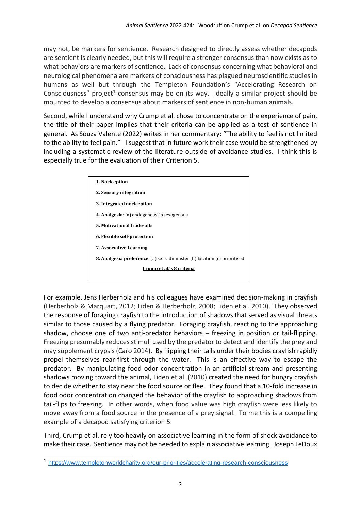may not, be markers for sentience. Research designed to directly assess whether decapods are sentient is clearly needed, but this will require a stronger consensus than now exists as to what behaviors are markers of sentience. Lack of consensus concerning what behavioral and neurological phenomena are markers of consciousness has plagued neuroscientific studies in humans as well but through the Templeton Foundation's "Accelerating Research on Consciousness" project<sup>1</sup> consensus may be on its way. Ideally a similar project should be mounted to develop a consensus about markers of sentience in non-human animals.

Second, while I understand why Crump et al. chose to concentrate on the experience of pain, the title of their paper implies that their criteria can be applied as a test of sentience in general. As Souza Valente (2022) writes in her commentary: "The ability to feel is not limited to the ability to feel pain." I suggest that in future work their case would be strengthened by including a systematic review of the literature outside of avoidance studies. I think this is especially true for the evaluation of their Criterion 5.



For example, Jens Herberholz and his colleagues have examined decision-making in crayfish (Herberholz & Marquart, 2012; Liden & Herberholz, 2008; Liden et al. 2010). They observed the response of foraging crayfish to the introduction of shadows that served as visual threats similar to those caused by a flying predator. Foraging crayfish, reacting to the approaching shadow, choose one of two anti-predator behaviors – freezing in position or tail-flipping. Freezing presumably reduces stimuli used by the predator to detect and identify the prey and may supplement crypsis (Caro 2014). By flipping their tails under their bodies crayfish rapidly propel themselves rear-first through the water. This is an effective way to escape the predator. By manipulating food odor concentration in an artificial stream and presenting shadows moving toward the animal, Liden et al. (2010) created the need for hungry crayfish to decide whether to stay near the food source or flee. They found that a 10-fold increase in food odor concentration changed the behavior of the crayfish to approaching shadows from tail-flips to freezing. In other words, when food value was high crayfish were less likely to move away from a food source in the presence of a prey signal. To me this is a compelling example of a decapod satisfying criterion 5.

Third, Crump et al. rely too heavily on associative learning in the form of shock avoidance to make their case. Sentience may not be needed to explain associative learning. Joseph LeDoux

<sup>1</sup> <https://www.templetonworldcharity.org/our-priorities/accelerating-research-consciousness>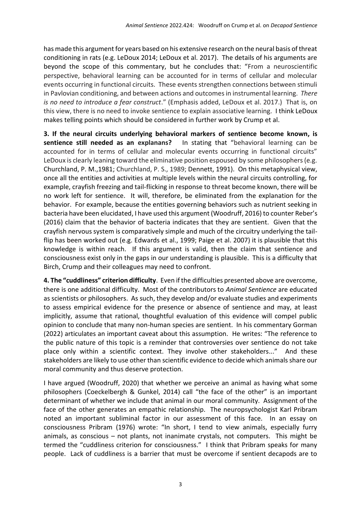has made this argument for years based on his extensive research on the neural basis of threat conditioning in rats (e.g. LeDoux 2014; LeDoux et al. 2017). The details of his arguments are beyond the scope of this commentary, but he concludes that: "From a neuroscientific perspective, behavioral learning can be accounted for in terms of cellular and molecular events occurring in functional circuits. These events strengthen connections between stimuli in Pavlovian conditioning, and between actions and outcomes in instrumental learning. *There is no need to introduce a fear construct*." (Emphasis added, LeDoux et al. 2017.) That is, on this view, there is no need to invoke sentience to explain associative learning. I think LeDoux makes telling points which should be considered in further work by Crump et al.

**3. If the neural circuits underlying behavioral markers of sentience become known, is sentience still needed as an explanans?** In stating that "behavioral learning can be accounted for in terms of cellular and molecular events occurring in functional circuits" LeDoux is clearly leaning toward the eliminative position espoused by some philosophers (e.g. Churchland, P. M.,1981; Churchland, P. S., 1989; Dennett, 1991). On this metaphysical view, once all the entities and activities at multiple levels within the neural circuits controlling, for example, crayfish freezing and tail-flicking in response to threat become known, there will be no work left for sentience. It will, therefore, be eliminated from the explanation for the behavior. For example, because the entities governing behaviors such as nutrient seeking in bacteria have been elucidated, I have used this argument (Woodruff, 2016) to counter Reber's (2016) claim that the behavior of bacteria indicates that they are sentient. Given that the crayfish nervous system is comparatively simple and much of the circuitry underlying the tailflip has been worked out (e.g. Edwards et al., 1999; Paige et al. 2007) it is plausible that this knowledge is within reach. If this argument is valid, then the claim that sentience and consciousness exist only in the gaps in our understanding is plausible. This is a difficulty that Birch, Crump and their colleagues may need to confront.

**4. The "cuddliness" criterion difficulty**. Even if the difficulties presented above are overcome, there is one additional difficulty. Most of the contributors to *Animal Sentience* are educated as scientists or philosophers. As such, they develop and/or evaluate studies and experiments to assess empirical evidence for the presence or absence of sentience and may, at least implicitly, assume that rational, thoughtful evaluation of this evidence will compel public opinion to conclude that many non-human species are sentient. In his commentary Gorman (2022) articulates an important caveat about this assumption. He writes: "The reference to the public nature of this topic is a reminder that controversies over sentience do not take place only within a scientific context. They involve other stakeholders..." And these stakeholders are likely to use other than scientific evidence to decide which animals share our moral community and thus deserve protection.

I have argued (Woodruff, 2020) that whether we perceive an animal as having what some philosophers (Coeckelbergh & Gunkel, 2014) call "the face of the other" is an important determinant of whether we include that animal in our moral community. Assignment of the face of the other generates an empathic relationship. The neuropsychologist Karl Pribram noted an important subliminal factor in our assessment of this face. In an essay on consciousness Pribram (1976) wrote: "In short, I tend to view animals, especially furry animals, as conscious – not plants, not inanimate crystals, not computers. This might be termed the "cuddliness criterion for consciousness." I think that Pribram speaks for many people. Lack of cuddliness is a barrier that must be overcome if sentient decapods are to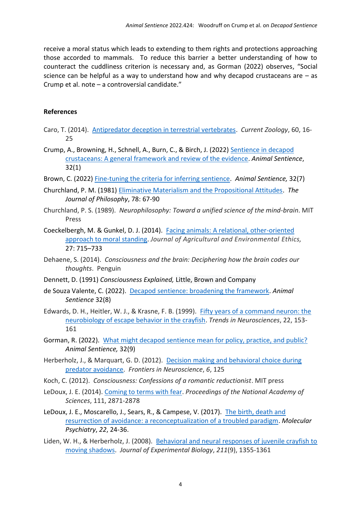receive a moral status which leads to extending to them rights and protections approaching those accorded to mammals. To reduce this barrier a better understanding of how to counteract the cuddliness criterion is necessary and, as Gorman (2022) observes, "Social science can be helpful as a way to understand how and why decapod crustaceans are – as Crump et al. note – a controversial candidate."

## **References**

- Caro, T. (2014). [Antipredator deception in terrestrial vertebrates.](https://pdfs.semanticscholar.org/286a/10ecdd4ed6badd885106047041a90406f207.pdf) *Current Zoology*, 60, 16- 25
- Crump, A., Browning, H., Schnell, A., Burn, C., & Birch, J. (2022) Sentience in decapod [crustaceans: A general framework and review of the evidence.](https://www.wellbeingintlstudiesrepository.org/animsent/vol7/iss32/1/) *Animal Sentience*, 32(1)
- Brown, C. (2022) [Fine-tuning the criteria for inferring sentience.](https://www.wellbeingintlstudiesrepository.org/animsent/vol7/iss32/7/) *Animal Sentience,* 32(7)
- Churchland, P. M. (1981[\) Eliminative Materialism and the Propositional Attitudes.](http://polanco.jesuits-africa.education:8080/xmlui/bitstream/handle/123456789/222/Contemporary%20Materialism%20-%20A%20Reader.pdf?sequence=1&isAllowed=y#page=167) *The Journal of Philosophy*, 78: 67-90
- Churchland, P. S. (1989). *Neurophilosophy: Toward a unified science of the mind-brain*. MIT Press
- Coeckelbergh, M. & Gunkel, D. J. (2014). [Facing animals: A relational, other-oriented](https://link.springer.com/article/10.1007/s10806-013-9486-3)  [approach to moral standing.](https://link.springer.com/article/10.1007/s10806-013-9486-3) *Journal of Agricultural and Environmental Ethics,* 27: 715–733
- Dehaene, S. (2014). *Consciousness and the brain: Deciphering how the brain codes our thoughts*. Penguin
- Dennett, D. (1991) *Consciousness Explained,* Little, Brown and Company
- de Souza Valente, C. (2022). [Decapod sentience: broadening the framework.](https://www.wellbeingintlstudiesrepository.org/animsent/vol7/iss32/8/) *Animal Sentience* 32(8)
- Edwards, D. H., Heitler, W. J., & Krasne, F. B. (1999). Fifty years of a [command neuron: the](http://web.as.uky.edu/Biology/faculty/cooper/bio350/Bio350%20Labs/WK5-%20Integration%206th%20Lab/command%20neurons-crayfish%20VNC.pdf)  [neurobiology of escape behavior in the crayfish.](http://web.as.uky.edu/Biology/faculty/cooper/bio350/Bio350%20Labs/WK5-%20Integration%206th%20Lab/command%20neurons-crayfish%20VNC.pdf) *Trends in Neurosciences*, 22, 153- 161
- Gorman, R. (2022). [What might decapod sentience mean for policy, practice, and public?](https://www.wellbeingintlstudiesrepository.org/animsent/vol7/iss32/9/)  *Animal Sentience,* 32(9)
- Herberholz, J., & Marquart, G. D. (2012). [Decision making and behavioral choice during](https://www.frontiersin.org/articles/10.3389/fnins.2012.00125/full)  [predator avoidance.](https://www.frontiersin.org/articles/10.3389/fnins.2012.00125/full) *Frontiers in Neuroscience*, *6*, 125
- Koch, C. (2012). *Consciousness: Confessions of a romantic reductionist*. MIT press
- LeDoux, J. E. (2014). [Coming to terms with fear.](https://www.pnas.org/doi/full/10.1073/pnas.1400335111) *Proceedings of the National Academy of Sciences*, 111, 2871-2878
- LeDoux, J. E., Moscarello, J., Sears, R., & Campese, V. (2017). [The birth, death and](https://www.nature.com/articles/mp2016166)  [resurrection of avoidance: a reconceptualization of a troubled paradigm.](https://www.nature.com/articles/mp2016166) *Molecular Psychiatry*, *22*, 24-36.
- Liden, W. H., & Herberholz, J. (2008). [Behavioral and neural responses of juvenile crayfish to](https://web.archive.org/web/20170814214940id_/http:/jeb.biologists.org/content/jexbio/211/9/1355.full.pdf)  [moving shadows.](https://web.archive.org/web/20170814214940id_/http:/jeb.biologists.org/content/jexbio/211/9/1355.full.pdf) *Journal of Experimental Biology*, *211*(9), 1355-1361